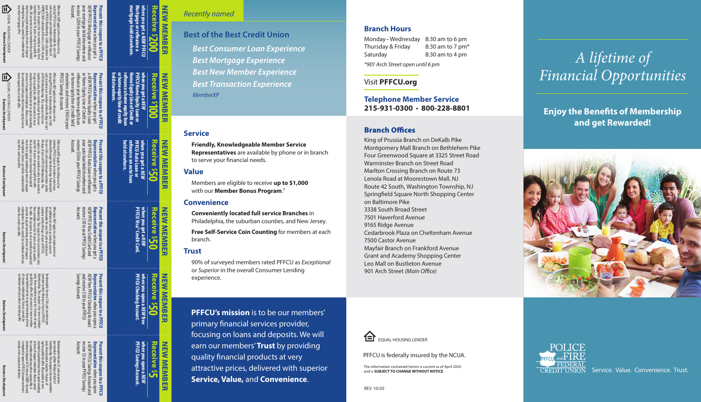

o er.

member must be 18 years of age to qualify for cost. This coupon is for new members only. New EXPRESS Refi valid only if there is a \$995 closing start of PFFCU Membership. \$200 cash bonus for cash incentive per member within 90 days of existing PFFCU loan. Redeemable for one \$200 Offer does NOT apply to the refinance of an

All accounts in new member household

#### EQUAL HOUSING LENDER redemption. must be in good standing at time of coupon All accounts in new member household must be 18 years of age to qualify for offer. coupon is for new members only. New member Bonus cannot be combined with any other auto loan offer. for offer. New member must be 18 years of age to qualify Membership. This coupon is for new members only. All accounts in new member household redemption. B must be in good standing at time of coupon other Visa credit card o er. of age to qualify for offer. members only. New member must be18 years All accounts in new at time of coupon redemption. member household must be in good standing Bonus cannot home equity line of credit offer. be combined with any other home equity loan or **Business Development Business Development**

90 days of start of PFFCU Membership. This for one \$50 cash incentive per member within obtained through the dealership. Redeemable existing PFFCU loan or for indirect auto loans O er does NOT apply to the re nance of an

of PFFCU Membership. This coupon is for new cash incentive per member within 90 days of start existing PFFCU loan. Redeemable for one \$100 O er does NOT apply to the re nance of an PFFCU Savings Account. elsewhere and receive \$100 in your or home equity line of credit held refinance your home equity loan or Home Equity Line of Credit or

member within 90 days of start of PFFCU Redeemable for one \$50 cash incentive per an additional card on an existing account. O er does NOT apply to card replacement or

combined with any other checking offer. **Business Development Business Development**

onus cannot be combined with any

of coupon redemption. Bonus cannot be household must be in good standing at time qualify for offer. All accounts in new member only. New member must be 18 years of age to Membership. This coupon is for new members member within 90 days of start of PFFCU Redeemable for one \$50 cash incentive per

remain in the account at all times. is required to open a PFFCU Account and must **Business Development**



minimum deposit of \$5 into an S0001 Account be combined with any other saving offer. A at time of coupon redemtion. Bonus cannot member household must be in good standing age to qualify for offer. All accounts in new only. New member must be 18 years of membership. This coupon is for new members per member within 90 days of start of Redeemable for one \$5 cash incentive Account. receive \$5 in your PFFCU Savings



**Representative**

when you get a

**Representative**

a

*NEW* PFFCU Home Equity Loan

when you get

**Representative**

when you get a

**Representative**

*NEW* 

PFFCU Visa Credit Card and

receive \$50 in your PFFCU Savings

when you get a

**Representative**

*NEW* free PFFCU Checking Account

Savings Account. and receive \$50 in your PFFCU

when you open a

**Representative**

a

*NEW* PFFCU Savings Account and

when you open

**Present this coupon to a PFFCU** 

**Present this coupon to a PFFCU** 

**Present this coupon to a PFFCU** 

*NEW* PFFCU Auto Loan or re nance

Account.

receive \$50 in your PFFCU Savings your auto loan held elsewhere and

Account.

**Present this coupon to a PFFCU** 

*NEW* PFFCU Mortgage or refinance

Account.

receive \$200 in your PFFCU Savings your mortgage held elsewhere and

**when you get a** 

**\$100**

**NEW MEMBER** 

**MEMB** 

剪

NEW

**Receive**

**NEW MEMBER**

Ë

**NEW MEMBE** 

**held elsewhere. re nance an auto loan PFFCU Auto Loan or** 

*NEW*

**when you get a** 

when you get<br>PFFCU Visa® Cr

**PFFCU Visa® Credit Card.**

*NEW*

**when you open a** 

**PFFCU Checking Account.**

*NEW* **free** 

**when you open a** 

**PFFCU Savings Account.**

*NEW*

**\$50**

**Receive NEW MEMBER** 

**NEW MEMBER** 

**\$50**

**Receive**

<u>ين</u>

NEW MEMBER<br>REW

**NEW MEMBER** 

**NEW MEMBER** 

**NEW MEMBER** 

## **NEW MEMBER** *Recently named* **EW MEMBER**

**Best of the Best Credit Union** *Best Consumer Loan Experience Best Mortgage Experience Best New Member Experience Best Transaction Experience MemberXP*

### **Service**

**Friendly, Knowledgeable Member Service Representatives** are available by phone or in branch to serve your financial needs.

### **Value**

Members are eligible to receive **up to \$1,000**  with our **Member Bonus Program.**<sup>9</sup>

### **Convenience**

**Conveniently located full service Branches** in Philadelphia, the suburban counties, and New Jersey.

**Free Self-Service Coin Counting** for members at each branch.

### **Trust**

90% of surveyed members rated PFFCU as *Exceptional* or *Superior* in the overall Consumer Lending experience.

**PFFCU's mission** is to be our members' primary financial services provider, focusing on loans and deposits. We will earn our members' **Trust** by providing quality financial products at very attractive prices, delivered with superior **Service, Value,** and **Convenience** .

### **Branch Hours**

Monday–Wednesday 8:30 am to 6 pm Thursday & Friday 8:30 am to 7 pm<sup>\*</sup> Saturday 8:30 am to 4 pm *\*901 Arch Street open until 6 pm*

Visit **PFFCU.org**

### **Telephone Member Service 215-931-0300**  • **800-228-8801**

### **Branch Offices**

King of Prussia Branch on DeKalb Pike Montgomery Mall Branch on Bethlehem Pike Four Greenwood Square at 3325 Street Road Warminster Branch on Street Road Marlton Crossing Branch on Route 73 Lenola Road at Moorestown Mall, NJ Route 42 South, Washington Township, NJ Spring field Square North Shopping Center on Baltimore Pike 3338 South Broad Street 7501 Haverford Avenue 9165 Ridge Avenue Cedarbrook Plaza on Cheltenham Avenue 7500 Castor Avenue Mayfair Branch on Frankford Avenue Grant and Academy Shopping Center Leo Mall on Bustleton Avenue 901 Arch Street (Main Office)

# *A lifetime of Financial Opportunities*

**Enjoy the Benefits of Membership and get Rewarded!**





PFFCU is federally insured by the NCUA.

The information contained herein is current as of April 2020 and is **SUBJECT TO CHANGE WITHOUT NOTICE** .



CREDIT UNION Service. Value. Convenience. Trust.